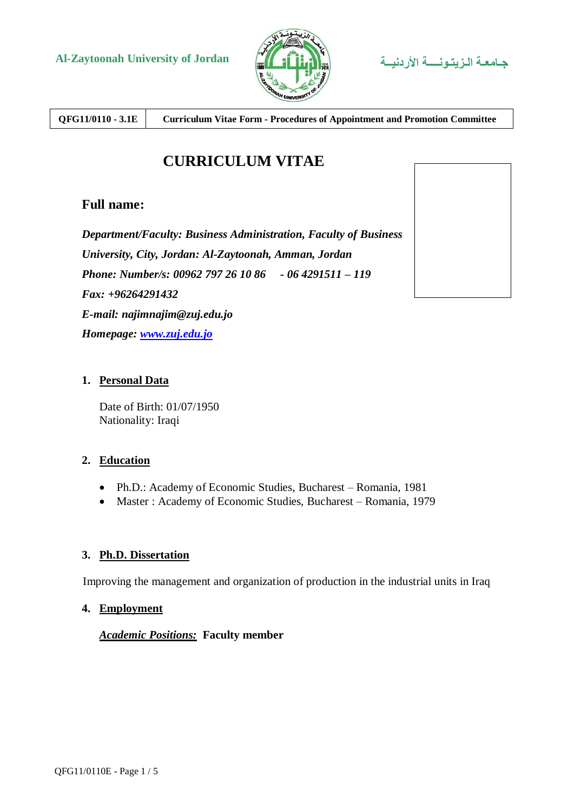



**QFG11/0110 - 3.1E Curriculum Vitae Form - Procedures of Appointment and Promotion Committee**

# **CURRICULUM VITAE**

### **Full name:**

*Department/Faculty: Business Administration, Faculty of Business University, City, Jordan: Al-Zaytoonah, Amman, Jordan Phone: Number/s: 00962 797 26 10 86 - 06 4291511 – 119 Fax: +96264291432 E-mail: najimnajim@zuj.edu.jo Homepage: [www.zuj.edu.jo](http://www.zuj.edu.jo/)* 

#### **1. Personal Data**

Date of Birth: 01/07/1950 Nationality: Iraqi

#### **2. Education**

- Ph.D.: Academy of Economic Studies, Bucharest Romania, 1981
- Master : Academy of Economic Studies, Bucharest Romania, 1979

#### **3. Ph.D. Dissertation**

Improving the management and organization of production in the industrial units in Iraq

#### **4. Employment**

#### *Academic Positions:* **Faculty member**

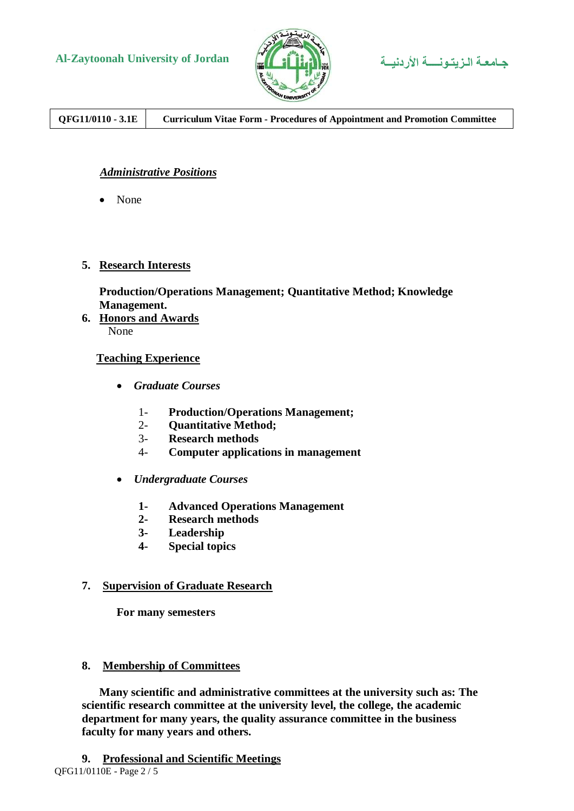



**QFG11/0110 - 3.1E Curriculum Vitae Form - Procedures of Appointment and Promotion Committee**

### *Administrative Positions*

• None

#### **5. Research Interests**

### **Production/Operations Management; Quantitative Method; Knowledge Management.**

**6. Honors and Awards** None

#### **Teaching Experience**

- *Graduate Courses*
	- 1- **Production/Operations Management;**
	- 2- **Quantitative Method;**
	- 3- **Research methods**
	- 4- **Computer applications in management**
- *Undergraduate Courses*
	- **1- Advanced Operations Management**
	- **2- Research methods**
	- **3- Leadership**
	- **4- Special topics**

#### **7. Supervision of Graduate Research**

**For many semesters**

#### **8. Membership of Committees**

 **Many scientific and administrative committees at the university such as: The scientific research committee at the university level, the college, the academic department for many years, the quality assurance committee in the business faculty for many years and others.**

QFG11/0110E - Page 2 / 5 **9. Professional and Scientific Meetings**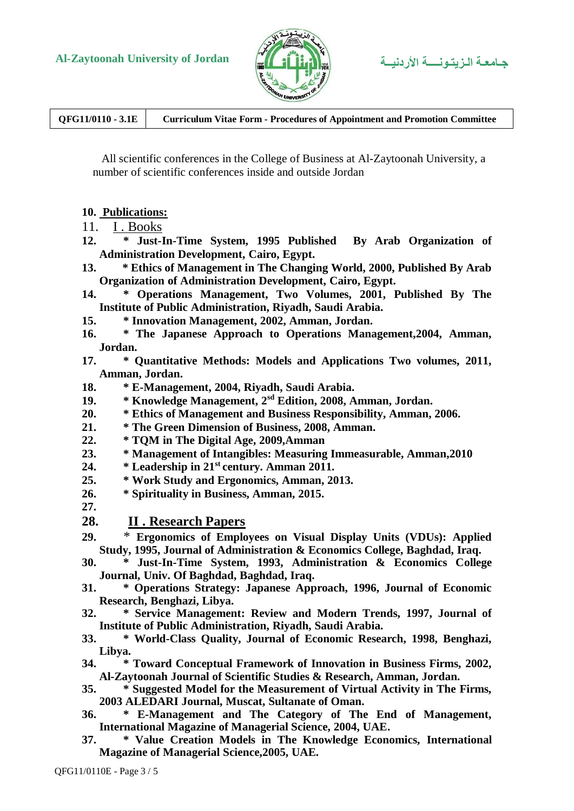

**QFG11/0110 - 3.1E Curriculum Vitae Form - Procedures of Appointment and Promotion Committee**

 All scientific conferences in the College of Business at Al-Zaytoonah University, a number of scientific conferences inside and outside Jordan

#### **10. Publications:**

- 11. I . Books
- **12. \* Just-In-Time System, 1995 Published By Arab Organization of Administration Development, Cairo, Egypt.**
- **13. \* Ethics of Management in The Changing World, 2000, Published By Arab Organization of Administration Development, Cairo, Egypt.**
- **14. \* Operations Management, Two Volumes, 2001, Published By The Institute of Public Administration, Riyadh, Saudi Arabia.**
- **15. \* Innovation Management, 2002, Amman, Jordan.**
- **16. \* The Japanese Approach to Operations Management,2004, Amman, Jordan.**
- **17. \* Quantitative Methods: Models and Applications Two volumes, 2011, Amman, Jordan.**
- **18. \* E-Management, 2004, Riyadh, Saudi Arabia.**
- **19. \* Knowledge Management, 2sd Edition, 2008, Amman, Jordan.**
- **20. \* Ethics of Management and Business Responsibility, Amman, 2006.**
- **21. \* The Green Dimension of Business, 2008, Amman.**
- **22. \* TQM in The Digital Age, 2009,Amman**
- **23. \* Management of Intangibles: Measuring Immeasurable, Amman,2010**
- **24. \* Leadership in 21st century. Amman 2011.**
- **25. \* Work Study and Ergonomics, Amman, 2013.**
- **26. \* Spirituality in Business, Amman, 2015.**

**27.**

#### **28. II . Research Papers**

- **29.** \* **Ergonomics of Employees on Visual Display Units (VDUs): Applied Study, 1995, Journal of Administration & Economics College, Baghdad, Iraq.**
- **30. \* Just-In-Time System, 1993, Administration & Economics College Journal, Univ. Of Baghdad, Baghdad, Iraq.**
- **31. \* Operations Strategy: Japanese Approach, 1996, Journal of Economic Research, Benghazi, Libya.**
- **32. \* Service Management: Review and Modern Trends, 1997, Journal of Institute of Public Administration, Riyadh, Saudi Arabia.**
- **33. \* World-Class Quality, Journal of Economic Research, 1998, Benghazi, Libya.**
- **34. \* Toward Conceptual Framework of Innovation in Business Firms, 2002, Al-Zaytoonah Journal of Scientific Studies & Research, Amman, Jordan.**
- **35. \* Suggested Model for the Measurement of Virtual Activity in The Firms, 2003 ALEDARI Journal, Muscat, Sultanate of Oman.**
- **36. \* E-Management and The Category of The End of Management, International Magazine of Managerial Science, 2004, UAE.**
- **37. \* Value Creation Models in The Knowledge Economics, International Magazine of Managerial Science,2005, UAE.**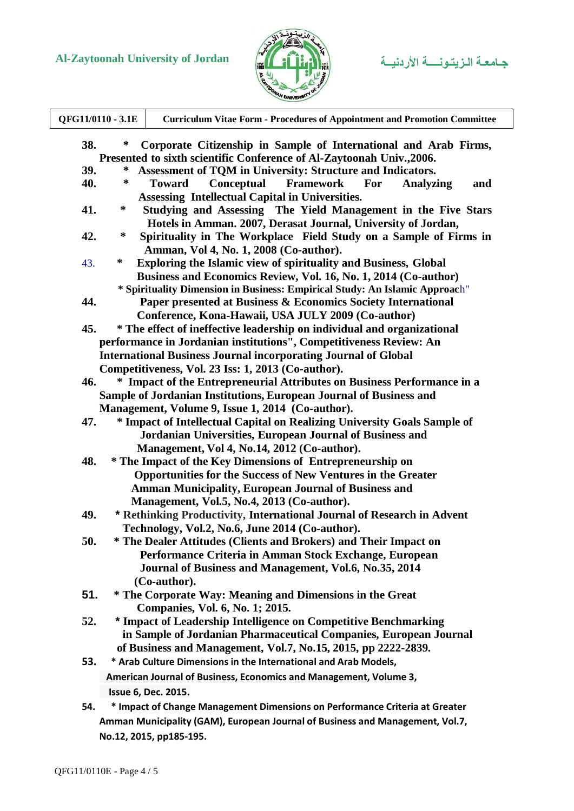# **Al-Zaytoonah University of Jordan األردنيــة الـزيتـونــــة جـامعـة**



| QFG11/0110 - 3.1E                                                                                                                                     |        | <b>Curriculum Vitae Form - Procedures of Appointment and Promotion Committee</b>  |
|-------------------------------------------------------------------------------------------------------------------------------------------------------|--------|-----------------------------------------------------------------------------------|
| 38.<br>Corporate Citizenship in Sample of International and Arab Firms,<br>∗<br>Presented to sixth scientific Conference of Al-Zaytoonah Univ., 2006. |        |                                                                                   |
| 39.                                                                                                                                                   | ∗      | Assessment of TQM in University: Structure and Indicators.                        |
| 40.                                                                                                                                                   | ∗      | Conceptual<br><b>Framework</b><br><b>Toward</b><br>For<br><b>Analyzing</b><br>and |
|                                                                                                                                                       |        | Assessing Intellectual Capital in Universities.                                   |
| 41.                                                                                                                                                   | $\ast$ | Studying and Assessing The Yield Management in the Five Stars                     |
|                                                                                                                                                       |        |                                                                                   |
|                                                                                                                                                       | ∗      | Hotels in Amman. 2007, Derasat Journal, University of Jordan,                     |
| 42.                                                                                                                                                   |        | Spirituality in The Workplace Field Study on a Sample of Firms in                 |
|                                                                                                                                                       |        | Amman, Vol 4, No. 1, 2008 (Co-author).                                            |
| 43.                                                                                                                                                   | ∗      | <b>Exploring the Islamic view of spirituality and Business, Global</b>            |
|                                                                                                                                                       |        | Business and Economics Review, Vol. 16, No. 1, 2014 (Co-author)                   |
|                                                                                                                                                       |        | * Spirituality Dimension in Business: Empirical Study: An Islamic Approach"       |
| 44.                                                                                                                                                   |        | Paper presented at Business & Economics Society International                     |
|                                                                                                                                                       |        | Conference, Kona-Hawaii, USA JULY 2009 (Co-author)                                |
| 45.                                                                                                                                                   |        | * The effect of ineffective leadership on individual and organizational           |
|                                                                                                                                                       |        | performance in Jordanian institutions", Competitiveness Review: An                |
|                                                                                                                                                       |        | <b>International Business Journal incorporating Journal of Global</b>             |
|                                                                                                                                                       |        | Competitiveness, Vol. 23 Iss: 1, 2013 (Co-author).                                |
| 46.                                                                                                                                                   |        | * Impact of the Entrepreneurial Attributes on Business Performance in a           |
|                                                                                                                                                       |        | Sample of Jordanian Institutions, European Journal of Business and                |
|                                                                                                                                                       |        | Management, Volume 9, Issue 1, 2014 (Co-author).                                  |
| 47.                                                                                                                                                   |        | * Impact of Intellectual Capital on Realizing University Goals Sample of          |
|                                                                                                                                                       |        | Jordanian Universities, European Journal of Business and                          |
|                                                                                                                                                       |        | Management, Vol 4, No.14, 2012 (Co-author).                                       |
| 48.                                                                                                                                                   |        | * The Impact of the Key Dimensions of Entrepreneurship on                         |
|                                                                                                                                                       |        | <b>Opportunities for the Success of New Ventures in the Greater</b>               |
|                                                                                                                                                       |        | <b>Amman Municipality, European Journal of Business and</b>                       |
|                                                                                                                                                       |        | Management, Vol.5, No.4, 2013 (Co-author).                                        |
| 49.                                                                                                                                                   |        | * Rethinking Productivity, International Journal of Research in Advent            |
|                                                                                                                                                       |        |                                                                                   |
|                                                                                                                                                       |        | Technology, Vol.2, No.6, June 2014 (Co-author).                                   |
| 50.                                                                                                                                                   |        | * The Dealer Attitudes (Clients and Brokers) and Their Impact on                  |
|                                                                                                                                                       |        | Performance Criteria in Amman Stock Exchange, European                            |
|                                                                                                                                                       |        | Journal of Business and Management, Vol.6, No.35, 2014                            |
|                                                                                                                                                       |        | (Co-author).                                                                      |
| 51.                                                                                                                                                   |        | * The Corporate Way: Meaning and Dimensions in the Great                          |
|                                                                                                                                                       |        | Companies, Vol. 6, No. 1; 2015.                                                   |
| 52.                                                                                                                                                   |        | * Impact of Leadership Intelligence on Competitive Benchmarking                   |
|                                                                                                                                                       |        | in Sample of Jordanian Pharmaceutical Companies, European Journal                 |
|                                                                                                                                                       |        | of Business and Management, Vol.7, No.15, 2015, pp 2222-2839.                     |
| 53.                                                                                                                                                   |        | * Arab Culture Dimensions in the International and Arab Models,                   |
|                                                                                                                                                       |        | American Journal of Business, Economics and Management, Volume 3,                 |
|                                                                                                                                                       |        | Issue 6, Dec. 2015.                                                               |
|                                                                                                                                                       |        |                                                                                   |
| 54.                                                                                                                                                   |        | * Impact of Change Management Dimensions on Performance Criteria at Greater       |
|                                                                                                                                                       |        | Amman Municipality (GAM), European Journal of Business and Management, Vol.7,     |
|                                                                                                                                                       |        | No.12, 2015, pp185-195.                                                           |